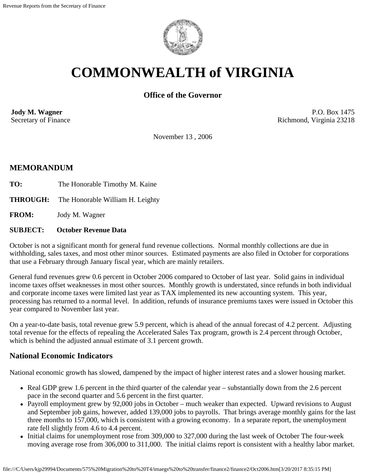

# **COMMONWEALTH of VIRGINIA**

# **Office of the Governor**

**Jody M. Wagner**  Secretary of Finance

P.O. Box 1475 Richmond, Virginia 23218

November 13 , 2006

## **MEMORANDUM**

- **TO:** The Honorable Timothy M. Kaine
- **THROUGH:** The Honorable William H. Leighty

**FROM:** Jody M. Wagner

#### **SUBJECT: October Revenue Data**

October is not a significant month for general fund revenue collections. Normal monthly collections are due in withholding, sales taxes, and most other minor sources. Estimated payments are also filed in October for corporations that use a February through January fiscal year, which are mainly retailers.

General fund revenues grew 0.6 percent in October 2006 compared to October of last year. Solid gains in individual income taxes offset weaknesses in most other sources. Monthly growth is understated, since refunds in both individual and corporate income taxes were limited last year as TAX implemented its new accounting system. This year, processing has returned to a normal level. In addition, refunds of insurance premiums taxes were issued in October this year compared to November last year.

On a year-to-date basis, total revenue grew 5.9 percent, which is ahead of the annual forecast of 4.2 percent. Adjusting total revenue for the effects of repealing the Accelerated Sales Tax program, growth is 2.4 percent through October, which is behind the adjusted annual estimate of 3.1 percent growth.

## **National Economic Indicators**

National economic growth has slowed, dampened by the impact of higher interest rates and a slower housing market.

- Real GDP grew 1.6 percent in the third quarter of the calendar year substantially down from the 2.6 percent pace in the second quarter and 5.6 percent in the first quarter.
- Payroll employment grew by 92,000 jobs in October much weaker than expected. Upward revisions to August and September job gains, however, added 139,000 jobs to payrolls. That brings average monthly gains for the last three months to 157,000, which is consistent with a growing economy. In a separate report, the unemployment rate fell slightly from 4.6 to 4.4 percent.
- Initial claims for unemployment rose from 309,000 to 327,000 during the last week of October The four-week moving average rose from 306,000 to 311,000. The initial claims report is consistent with a healthy labor market.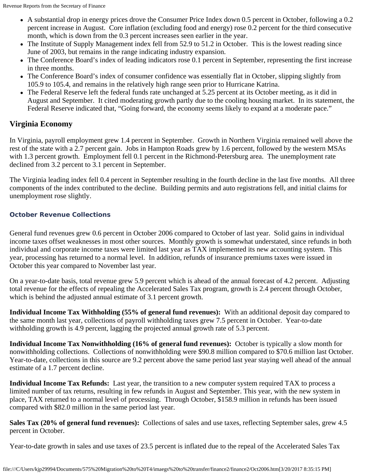- A substantial drop in energy prices drove the Consumer Price Index down 0.5 percent in October, following a 0.2 percent increase in August. Core inflation (excluding food and energy) rose 0.2 percent for the third consecutive month, which is down from the 0.3 percent increases seen earlier in the year.
- The Institute of Supply Management index fell from 52.9 to 51.2 in October. This is the lowest reading since June of 2003, but remains in the range indicating industry expansion.
- The Conference Board's index of leading indicators rose 0.1 percent in September, representing the first increase in three months.
- The Conference Board's index of consumer confidence was essentially flat in October, slipping slightly from 105.9 to 105.4, and remains in the relatively high range seen prior to Hurricane Katrina.
- The Federal Reserve left the federal funds rate unchanged at 5.25 percent at its October meeting, as it did in August and September. It cited moderating growth partly due to the cooling housing market. In its statement, the Federal Reserve indicated that, "Going forward, the economy seems likely to expand at a moderate pace."

# **Virginia Economy**

In Virginia, payroll employment grew 1.4 percent in September. Growth in Northern Virginia remained well above the rest of the state with a 2.7 percent gain. Jobs in Hampton Roads grew by 1.6 percent, followed by the western MSAs with 1.3 percent growth. Employment fell 0.1 percent in the Richmond-Petersburg area. The unemployment rate declined from 3.2 percent to 3.1 percent in September.

The Virginia leading index fell 0.4 percent in September resulting in the fourth decline in the last five months. All three components of the index contributed to the decline. Building permits and auto registrations fell, and initial claims for unemployment rose slightly.

## **October Revenue Collections**

General fund revenues grew 0.6 percent in October 2006 compared to October of last year. Solid gains in individual income taxes offset weaknesses in most other sources. Monthly growth is somewhat understated, since refunds in both individual and corporate income taxes were limited last year as TAX implemented its new accounting system. This year, processing has returned to a normal level. In addition, refunds of insurance premiums taxes were issued in October this year compared to November last year.

On a year-to-date basis, total revenue grew 5.9 percent which is ahead of the annual forecast of 4.2 percent. Adjusting total revenue for the effects of repealing the Accelerated Sales Tax program, growth is 2.4 percent through October, which is behind the adjusted annual estimate of 3.1 percent growth.

**Individual Income Tax Withholding (55% of general fund revenues):** With an additional deposit day compared to the same month last year, collections of payroll withholding taxes grew 7.5 percent in October. Year-to-date withholding growth is 4.9 percent, lagging the projected annual growth rate of 5.3 percent.

**Individual Income Tax Nonwithholding (16% of general fund revenues):** October is typically a slow month for nonwithholding collections. Collections of nonwithholding were \$90.8 million compared to \$70.6 million last October. Year-to-date, collections in this source are 9.2 percent above the same period last year staying well ahead of the annual estimate of a 1.7 percent decline.

**Individual Income Tax Refunds:** Last year, the transition to a new computer system required TAX to process a limited number of tax returns, resulting in few refunds in August and September. This year, with the new system in place, TAX returned to a normal level of processing. Through October, \$158.9 million in refunds has been issued compared with \$82.0 million in the same period last year.

**Sales Tax (20% of general fund revenues):** Collections of sales and use taxes, reflecting September sales, grew 4.5 percent in October.

Year-to-date growth in sales and use taxes of 23.5 percent is inflated due to the repeal of the Accelerated Sales Tax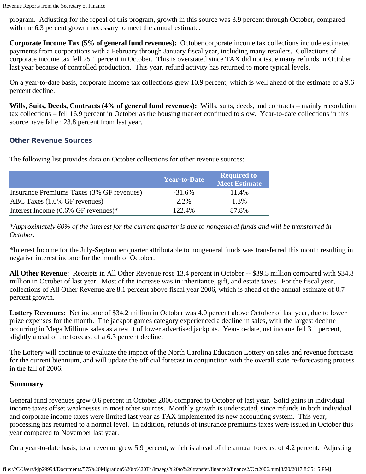program. Adjusting for the repeal of this program, growth in this source was 3.9 percent through October, compared with the 6.3 percent growth necessary to meet the annual estimate.

**Corporate Income Tax (5% of general fund revenues):** October corporate income tax collections include estimated payments from corporations with a February through January fiscal year, including many retailers. Collections of corporate income tax fell 25.1 percent in October. This is overstated since TAX did not issue many refunds in October last year because of controlled production. This year, refund activity has returned to more typical levels.

On a year-to-date basis, corporate income tax collections grew 10.9 percent, which is well ahead of the estimate of a 9.6 percent decline.

**Wills, Suits, Deeds, Contracts (4% of general fund revenues):** Wills, suits, deeds, and contracts – mainly recordation tax collections – fell 16.9 percent in October as the housing market continued to slow. Year-to-date collections in this source have fallen 23.8 percent from last year.

#### **Other Revenue Sources**

The following list provides data on October collections for other revenue sources:

|                                           | <b>Year-to-Date</b> | <b>Required to</b><br><b>Meet Estimate</b> |
|-------------------------------------------|---------------------|--------------------------------------------|
| Insurance Premiums Taxes (3% GF revenues) | $-31.6\%$           | 11.4%                                      |
| ABC Taxes (1.0% GF revenues)              | 2.2%                | 1.3%                                       |
| Interest Income $(0.6\%$ GF revenues)*    | 122.4%              | 87.8%                                      |

*\*Approximately 60% of the interest for the current quarter is due to nongeneral funds and will be transferred in October.*

\*Interest Income for the July-September quarter attributable to nongeneral funds was transferred this month resulting in negative interest income for the month of October.

**All Other Revenue:** Receipts in All Other Revenue rose 13.4 percent in October -- \$39.5 million compared with \$34.8 million in October of last year. Most of the increase was in inheritance, gift, and estate taxes. For the fiscal year, collections of All Other Revenue are 8.1 percent above fiscal year 2006, which is ahead of the annual estimate of 0.7 percent growth.

**Lottery Revenues:** Net income of \$34.2 million in October was 4.0 percent above October of last year, due to lower prize expenses for the month. The jackpot games category experienced a decline in sales, with the largest decline occurring in Mega Millions sales as a result of lower advertised jackpots. Year-to-date, net income fell 3.1 percent, slightly ahead of the forecast of a 6.3 percent decline.

The Lottery will continue to evaluate the impact of the North Carolina Education Lottery on sales and revenue forecasts for the current biennium, and will update the official forecast in conjunction with the overall state re-forecasting process in the fall of 2006.

## **Summary**

General fund revenues grew 0.6 percent in October 2006 compared to October of last year. Solid gains in individual income taxes offset weaknesses in most other sources. Monthly growth is understated, since refunds in both individual and corporate income taxes were limited last year as TAX implemented its new accounting system. This year, processing has returned to a normal level. In addition, refunds of insurance premiums taxes were issued in October this year compared to November last year.

On a year-to-date basis, total revenue grew 5.9 percent, which is ahead of the annual forecast of 4.2 percent. Adjusting